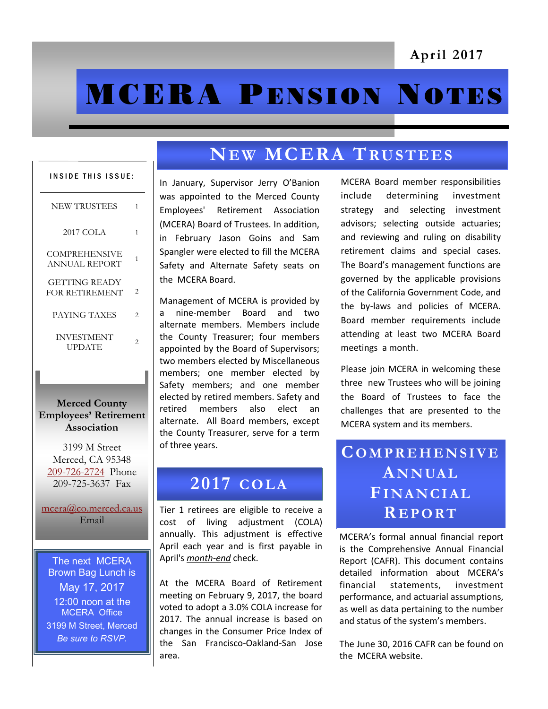# **MCERA PENSION NOTES**

| <b>INSIDE THIS ISSUE:</b>                     |                |
|-----------------------------------------------|----------------|
| <b>NEW TRUSTEES</b>                           | 1              |
| <b>2017 COLA</b>                              | 1              |
| COMPREHENSIVE<br>ANNUAL REPORT                | 1              |
| <b>GETTING READY</b><br><b>FOR RETIREMENT</b> | $\overline{c}$ |
| PAYING TAXES                                  | $\mathfrak{D}$ |
| <b>INVESTMENT</b><br><b>UPDATE</b>            | $\mathfrak{D}$ |
|                                               |                |

**Merced County Employees' Retirement Association**

3199 M Street Merced, CA 95348 [209-726-2724](tel:+12097262724) Phone 209-725-3637 Fax

[mcera@co.merced.ca.us](mailto:mcera@co.merced.ca.us) Email

The next MCERA Brown Bag Lunch is May 17, 2017 12:00 noon at the MCERA Office 3199 M Street, Merced *Be sure to RSVP.*

# $N$ **EW MCERA TRUSTEES**

In January, Supervisor Jerry O'Banion was appointed to the Merced County Employees' Retirement Association (MCERA) Board of Trustees. In addition, in February Jason Goins and Sam Spangler were elected to fill the MCERA Safety and Alternate Safety seats on the MCERA Board.

Management of MCERA is provided by a nine-member Board and two alternate members. Members include the County Treasurer; four members appointed by the Board of Supervisors; two members elected by Miscellaneous members; one member elected by Safety members; and one member elected by retired members. Safety and retired members also elect an alternate. All Board members, except the County Treasurer, serve for a term of three years.

### **2017 C O L A**

Tier 1 retirees are eligible to receive a cost of living adjustment (COLA) annually. This adjustment is effective April each year and is first payable in April's *month-end* check.

At the MCERA Board of Retirement meeting on February 9, 2017, the board voted to adopt a 3.0% COLA increase for 2017. The annual increase is based on changes in the Consumer Price Index of the San Francisco-Oakland-San Jose area.

MCERA Board member responsibilities include determining investment strategy and selecting investment advisors; selecting outside actuaries; and reviewing and ruling on disability retirement claims and special cases. The Board's management functions are governed by the applicable provisions of the California Government Code, and the by-laws and policies of MCERA. Board member requirements include attending at least two MCERA Board meetings a month.

Please join MCERA in welcoming these three new Trustees who will be joining the Board of Trustees to face the challenges that are presented to the MCERA system and its members.

# **CO M P R E H E N S I V E A N N UA L FI NA N C I A L R E P O RT**

MCERA's formal annual financial report is the Comprehensive Annual Financial Report (CAFR). This document contains detailed information about MCERA's financial statements, investment performance, and actuarial assumptions, as well as data pertaining to the number and status of the system's members.

The June 30, 2016 CAFR can be found on the MCERA website.